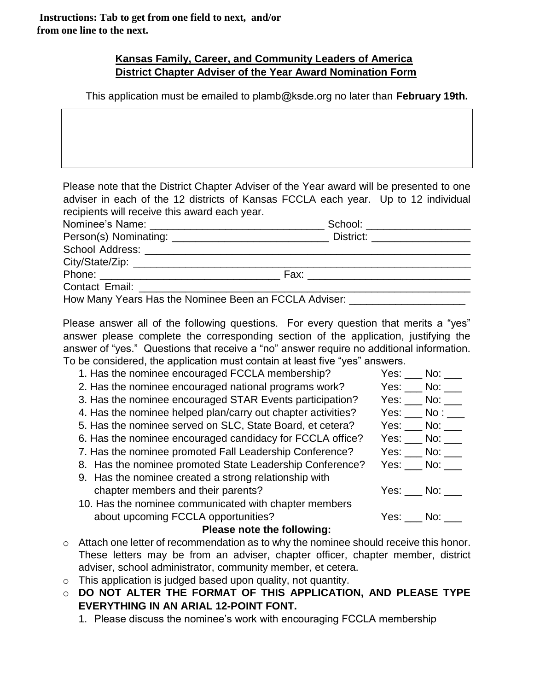## **Kansas Family, Career, and Community Leaders of America District Chapter Adviser of the Year Award Nomination Form**

This application must be emailed to plamb@ksde.org no later than **February 19th.**

Please note that the District Chapter Adviser of the Year award will be presented to one adviser in each of the 12 districts of Kansas FCCLA each year. Up to 12 individual recipients will receive this award each year.

| School: _____________________                         |
|-------------------------------------------------------|
|                                                       |
|                                                       |
| City/State/Zip: 2000 City/State/Zip:                  |
| Fax: ______________________________                   |
|                                                       |
| How Many Years Has the Nominee Been an FCCLA Adviser: |

Please answer all of the following questions. For every question that merits a "yes" answer please complete the corresponding section of the application, justifying the answer of "yes." Questions that receive a "no" answer require no additional information. To be considered, the application must contain at least five "yes" answers.

| 1. Has the nominee encouraged FCCLA membership?              | $Yes:$ No: $\_\_$                                      |
|--------------------------------------------------------------|--------------------------------------------------------|
| 2. Has the nominee encouraged national programs work?        | $Yes:$ No: $\_\_$                                      |
| 3. Has the nominee encouraged STAR Events participation?     | $Yes:$ No: $\_\_$                                      |
| 4. Has the nominee helped plan/carry out chapter activities? | Yes: $\rule{1em}{0.15mm}$ No : $\rule{1.15mm}{0.15mm}$ |
| 5. Has the nominee served on SLC, State Board, et cetera?    | $Yes:$ No: $\_\_$                                      |
| 6. Has the nominee encouraged candidacy for FCCLA office?    | $Yes:$ No: $\_\_$                                      |
| 7. Has the nominee promoted Fall Leadership Conference?      | Yes: $\_\_$ No: $\_\_$                                 |
| 8. Has the nominee promoted State Leadership Conference?     |                                                        |
| 9. Has the nominee created a strong relationship with        |                                                        |
| chapter members and their parents?                           | Yes: No:                                               |
| 10. Has the nominee communicated with chapter members        |                                                        |
| about upcoming FCCLA opportunities?                          | Yes: No:                                               |
|                                                              |                                                        |

## **Please note the following:**

- o Attach one letter of recommendation as to why the nominee should receive this honor. These letters may be from an adviser, chapter officer, chapter member, district adviser, school administrator, community member, et cetera.
- $\circ$  This application is judged based upon quality, not quantity.

o **DO NOT ALTER THE FORMAT OF THIS APPLICATION, AND PLEASE TYPE EVERYTHING IN AN ARIAL 12-POINT FONT.**

1. Please discuss the nominee's work with encouraging FCCLA membership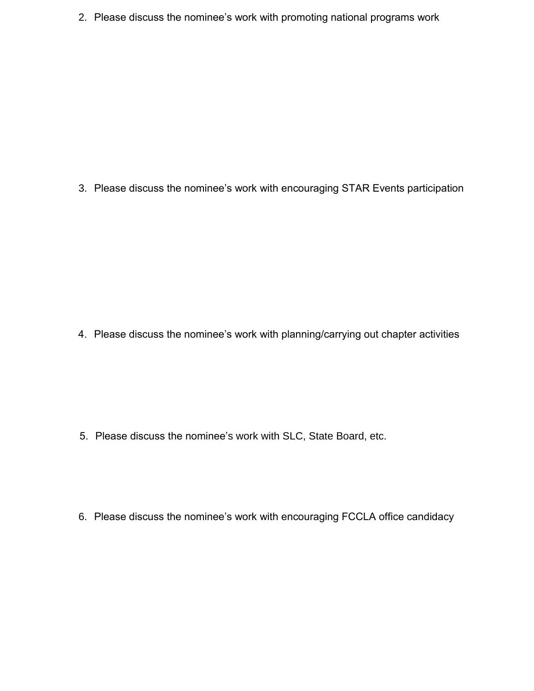2. Please discuss the nominee's work with promoting national programs work

3. Please discuss the nominee's work with encouraging STAR Events participation

4. Please discuss the nominee's work with planning/carrying out chapter activities

- 5. Please discuss the nominee's work with SLC, State Board, etc.
- 6. Please discuss the nominee's work with encouraging FCCLA office candidacy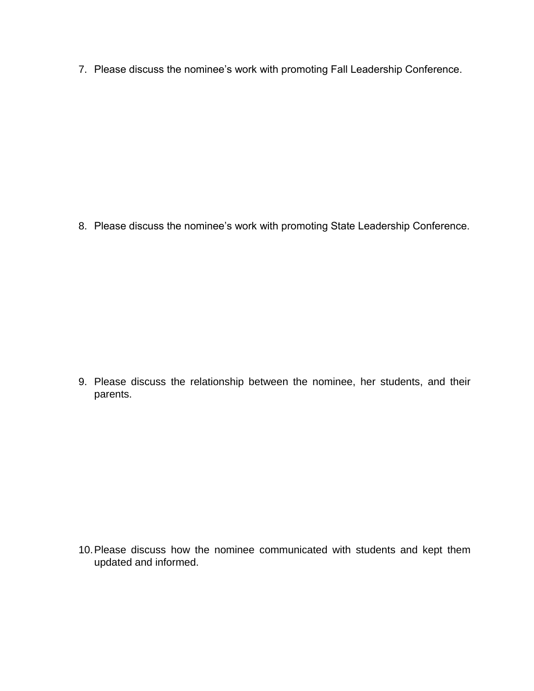7. Please discuss the nominee's work with promoting Fall Leadership Conference.

8. Please discuss the nominee's work with promoting State Leadership Conference.

9. Please discuss the relationship between the nominee, her students, and their parents.

10.Please discuss how the nominee communicated with students and kept them updated and informed.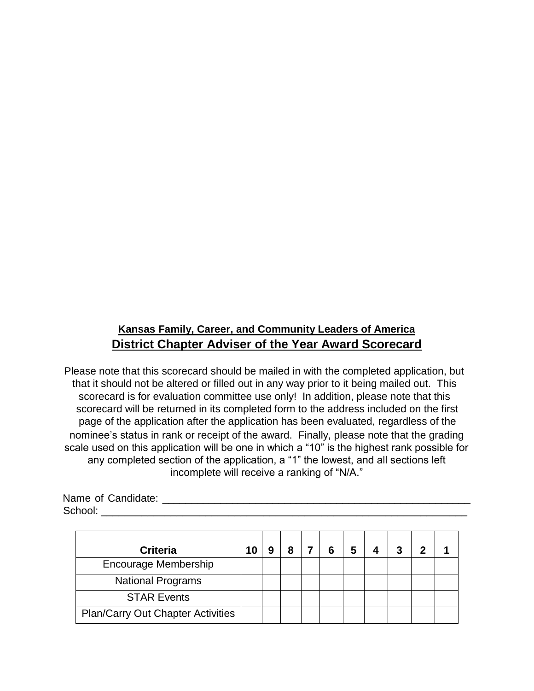## **Kansas Family, Career, and Community Leaders of America District Chapter Adviser of the Year Award Scorecard**

Please note that this scorecard should be mailed in with the completed application, but that it should not be altered or filled out in any way prior to it being mailed out. This scorecard is for evaluation committee use only! In addition, please note that this scorecard will be returned in its completed form to the address included on the first page of the application after the application has been evaluated, regardless of the nominee's status in rank or receipt of the award. Finally, please note that the grading scale used on this application will be one in which a "10" is the highest rank possible for any completed section of the application, a "1" the lowest, and all sections left incomplete will receive a ranking of "N/A."

| Name of Candidate: |  |
|--------------------|--|
| School:            |  |

| <b>Criteria</b>                          | 10 | 8 | 6 | 5 | 3 |  |
|------------------------------------------|----|---|---|---|---|--|
| Encourage Membership                     |    |   |   |   |   |  |
| <b>National Programs</b>                 |    |   |   |   |   |  |
| <b>STAR Events</b>                       |    |   |   |   |   |  |
| <b>Plan/Carry Out Chapter Activities</b> |    |   |   |   |   |  |